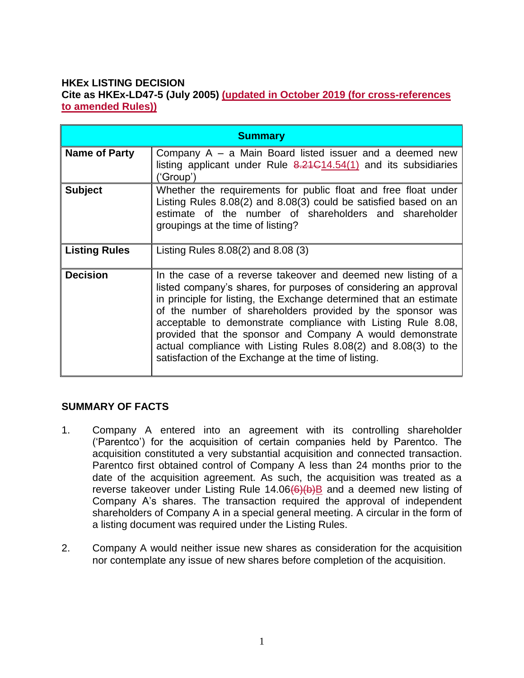#### **HKEx LISTING DECISION Cite as HKEx-LD47-5 (July 2005) (updated in October 2019 (for cross-references to amended Rules))**

| <b>Summary</b>       |                                                                                                                                                                                                                                                                                                                                                                                                                                                                                                                              |
|----------------------|------------------------------------------------------------------------------------------------------------------------------------------------------------------------------------------------------------------------------------------------------------------------------------------------------------------------------------------------------------------------------------------------------------------------------------------------------------------------------------------------------------------------------|
| Name of Party        | Company $A - a$ Main Board listed issuer and a deemed new<br>listing applicant under Rule $8.21 \div 14.54(1)$ and its subsidiaries<br>('Group')                                                                                                                                                                                                                                                                                                                                                                             |
| <b>Subject</b>       | Whether the requirements for public float and free float under<br>Listing Rules 8.08(2) and 8.08(3) could be satisfied based on an<br>estimate of the number of shareholders and shareholder<br>groupings at the time of listing?                                                                                                                                                                                                                                                                                            |
| <b>Listing Rules</b> | Listing Rules 8.08(2) and 8.08 (3)                                                                                                                                                                                                                                                                                                                                                                                                                                                                                           |
| <b>Decision</b>      | In the case of a reverse takeover and deemed new listing of a<br>listed company's shares, for purposes of considering an approval<br>in principle for listing, the Exchange determined that an estimate<br>of the number of shareholders provided by the sponsor was<br>acceptable to demonstrate compliance with Listing Rule 8.08,<br>provided that the sponsor and Company A would demonstrate<br>actual compliance with Listing Rules 8.08(2) and 8.08(3) to the<br>satisfaction of the Exchange at the time of listing. |

# **SUMMARY OF FACTS**

- 1. Company A entered into an agreement with its controlling shareholder ('Parentco') for the acquisition of certain companies held by Parentco. The acquisition constituted a very substantial acquisition and connected transaction. Parentco first obtained control of Company A less than 24 months prior to the date of the acquisition agreement. As such, the acquisition was treated as a reverse takeover under Listing Rule  $14.06(6)(b)B$  and a deemed new listing of Company A's shares. The transaction required the approval of independent shareholders of Company A in a special general meeting. A circular in the form of a listing document was required under the Listing Rules.
- 2. Company A would neither issue new shares as consideration for the acquisition nor contemplate any issue of new shares before completion of the acquisition.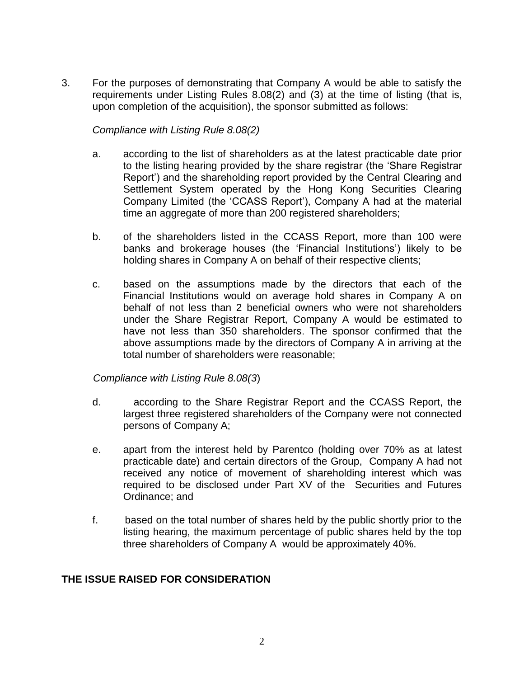3. For the purposes of demonstrating that Company A would be able to satisfy the requirements under Listing Rules 8.08(2) and (3) at the time of listing (that is, upon completion of the acquisition), the sponsor submitted as follows:

#### *Compliance with Listing Rule 8.08(2)*

- a. according to the list of shareholders as at the latest practicable date prior to the listing hearing provided by the share registrar (the 'Share Registrar Report') and the shareholding report provided by the Central Clearing and Settlement System operated by the Hong Kong Securities Clearing Company Limited (the 'CCASS Report'), Company A had at the material time an aggregate of more than 200 registered shareholders;
- b. of the shareholders listed in the CCASS Report, more than 100 were banks and brokerage houses (the 'Financial Institutions') likely to be holding shares in Company A on behalf of their respective clients;
- c. based on the assumptions made by the directors that each of the Financial Institutions would on average hold shares in Company A on behalf of not less than 2 beneficial owners who were not shareholders under the Share Registrar Report, Company A would be estimated to have not less than 350 shareholders. The sponsor confirmed that the above assumptions made by the directors of Company A in arriving at the total number of shareholders were reasonable;

#### *Compliance with Listing Rule 8.08(3*)

- d. according to the Share Registrar Report and the CCASS Report, the largest three registered shareholders of the Company were not connected persons of Company A;
- e. apart from the interest held by Parentco (holding over 70% as at latest practicable date) and certain directors of the Group, Company A had not received any notice of movement of shareholding interest which was required to be disclosed under Part XV of the Securities and Futures Ordinance; and
- f. based on the total number of shares held by the public shortly prior to the listing hearing, the maximum percentage of public shares held by the top three shareholders of Company A would be approximately 40%.

#### **THE ISSUE RAISED FOR CONSIDERATION**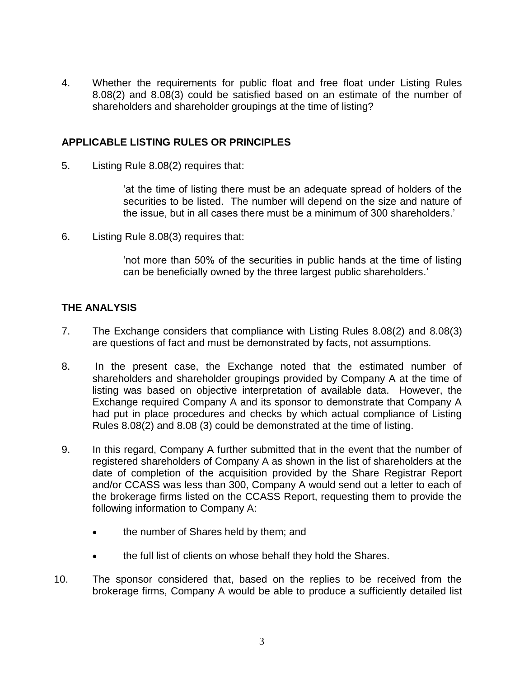4. Whether the requirements for public float and free float under Listing Rules 8.08(2) and 8.08(3) could be satisfied based on an estimate of the number of shareholders and shareholder groupings at the time of listing?

## **APPLICABLE LISTING RULES OR PRINCIPLES**

5. Listing Rule 8.08(2) requires that:

'at the time of listing there must be an adequate spread of holders of the securities to be listed. The number will depend on the size and nature of the issue, but in all cases there must be a minimum of 300 shareholders.'

6. Listing Rule 8.08(3) requires that:

'not more than 50% of the securities in public hands at the time of listing can be beneficially owned by the three largest public shareholders.'

# **THE ANALYSIS**

- 7. The Exchange considers that compliance with Listing Rules 8.08(2) and 8.08(3) are questions of fact and must be demonstrated by facts, not assumptions.
- 8. In the present case, the Exchange noted that the estimated number of shareholders and shareholder groupings provided by Company A at the time of listing was based on objective interpretation of available data. However, the Exchange required Company A and its sponsor to demonstrate that Company A had put in place procedures and checks by which actual compliance of Listing Rules 8.08(2) and 8.08 (3) could be demonstrated at the time of listing.
- 9. In this regard, Company A further submitted that in the event that the number of registered shareholders of Company A as shown in the list of shareholders at the date of completion of the acquisition provided by the Share Registrar Report and/or CCASS was less than 300, Company A would send out a letter to each of the brokerage firms listed on the CCASS Report, requesting them to provide the following information to Company A:
	- the number of Shares held by them; and
	- the full list of clients on whose behalf they hold the Shares.
- 10. The sponsor considered that, based on the replies to be received from the brokerage firms, Company A would be able to produce a sufficiently detailed list